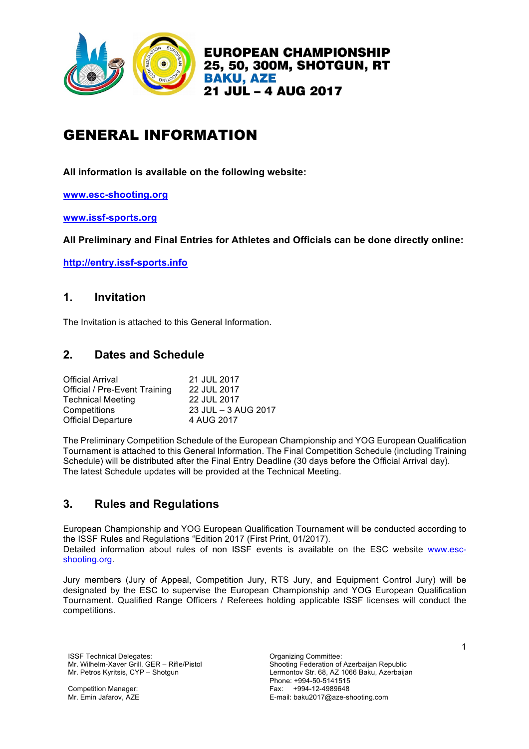

# GENERAL INFORMATION

**All information is available on the following website:**

**www.esc-shooting.org**

**www.issf-sports.org**

**All Preliminary and Final Entries for Athletes and Officials can be done directly online:**

**http://entry.issf-sports.info**

### **1. Invitation**

The Invitation is attached to this General Information.

# **2. Dates and Schedule**

| <b>Official Arrival</b>              | 21 JUL 2017         |
|--------------------------------------|---------------------|
| <b>Official / Pre-Event Training</b> | 22 JUL 2017         |
| <b>Technical Meeting</b>             | 22 JUL 2017         |
| Competitions                         | 23 JUL - 3 AUG 2017 |
| <b>Official Departure</b>            | 4 AUG 2017          |

The Preliminary Competition Schedule of the European Championship and YOG European Qualification Tournament is attached to this General Information. The Final Competition Schedule (including Training Schedule) will be distributed after the Final Entry Deadline (30 days before the Official Arrival day). The latest Schedule updates will be provided at the Technical Meeting.

### **3. Rules and Regulations**

European Championship and YOG European Qualification Tournament will be conducted according to the ISSF Rules and Regulations "Edition 2017 (First Print, 01/2017). Detailed information about rules of non ISSF events is available on the ESC website www.escshooting.org.

Jury members (Jury of Appeal, Competition Jury, RTS Jury, and Equipment Control Jury) will be designated by the ESC to supervise the European Championship and YOG European Qualification Tournament. Qualified Range Officers / Referees holding applicable ISSF licenses will conduct the competitions.

ISSF Technical Delegates: Organizing Committee: Mr. Wilhelm-Xaver Grill, GER – Rifle/Pistol Mr. Petros Kyritsis, CYP – Shotgun

Competition Manager: Mr. Emin Jafarov, AZE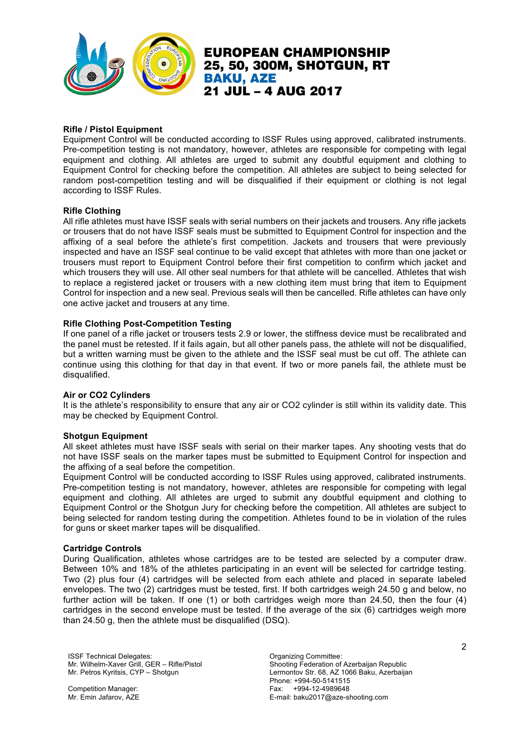

#### **Rifle / Pistol Equipment**

Equipment Control will be conducted according to ISSF Rules using approved, calibrated instruments. Pre-competition testing is not mandatory, however, athletes are responsible for competing with legal equipment and clothing. All athletes are urged to submit any doubtful equipment and clothing to Equipment Control for checking before the competition. All athletes are subject to being selected for random post-competition testing and will be disqualified if their equipment or clothing is not legal according to ISSF Rules.

#### **Rifle Clothing**

All rifle athletes must have ISSF seals with serial numbers on their jackets and trousers. Any rifle jackets or trousers that do not have ISSF seals must be submitted to Equipment Control for inspection and the affixing of a seal before the athlete's first competition. Jackets and trousers that were previously inspected and have an ISSF seal continue to be valid except that athletes with more than one jacket or trousers must report to Equipment Control before their first competition to confirm which jacket and which trousers they will use. All other seal numbers for that athlete will be cancelled. Athletes that wish to replace a registered jacket or trousers with a new clothing item must bring that item to Equipment Control for inspection and a new seal. Previous seals will then be cancelled. Rifle athletes can have only one active jacket and trousers at any time.

#### **Rifle Clothing Post-Competition Testing**

If one panel of a rifle jacket or trousers tests 2.9 or lower, the stiffness device must be recalibrated and the panel must be retested. If it fails again, but all other panels pass, the athlete will not be disqualified, but a written warning must be given to the athlete and the ISSF seal must be cut off. The athlete can continue using this clothing for that day in that event. If two or more panels fail, the athlete must be disqualified.

#### **Air or CO2 Cylinders**

It is the athlete's responsibility to ensure that any air or CO2 cylinder is still within its validity date. This may be checked by Equipment Control.

#### **Shotgun Equipment**

All skeet athletes must have ISSF seals with serial on their marker tapes. Any shooting vests that do not have ISSF seals on the marker tapes must be submitted to Equipment Control for inspection and the affixing of a seal before the competition.

Equipment Control will be conducted according to ISSF Rules using approved, calibrated instruments. Pre-competition testing is not mandatory, however, athletes are responsible for competing with legal equipment and clothing. All athletes are urged to submit any doubtful equipment and clothing to Equipment Control or the Shotgun Jury for checking before the competition. All athletes are subject to being selected for random testing during the competition. Athletes found to be in violation of the rules for guns or skeet marker tapes will be disqualified.

#### **Cartridge Controls**

During Qualification, athletes whose cartridges are to be tested are selected by a computer draw. Between 10% and 18% of the athletes participating in an event will be selected for cartridge testing. Two (2) plus four (4) cartridges will be selected from each athlete and placed in separate labeled envelopes. The two (2) cartridges must be tested, first. If both cartridges weigh 24.50 g and below, no further action will be taken. If one (1) or both cartridges weigh more than 24.50, then the four (4) cartridges in the second envelope must be tested. If the average of the six (6) cartridges weigh more than 24.50 g, then the athlete must be disqualified (DSQ).

ISSF Technical Delegates: Committee: Committee: Committee: Committee: Committee: Mr. Wilhelm-Xaver Grill, GER – Rifle/Pistol Mr. Petros Kyritsis, CYP – Shotgun

Competition Manager: Mr. Emin Jafarov, AZE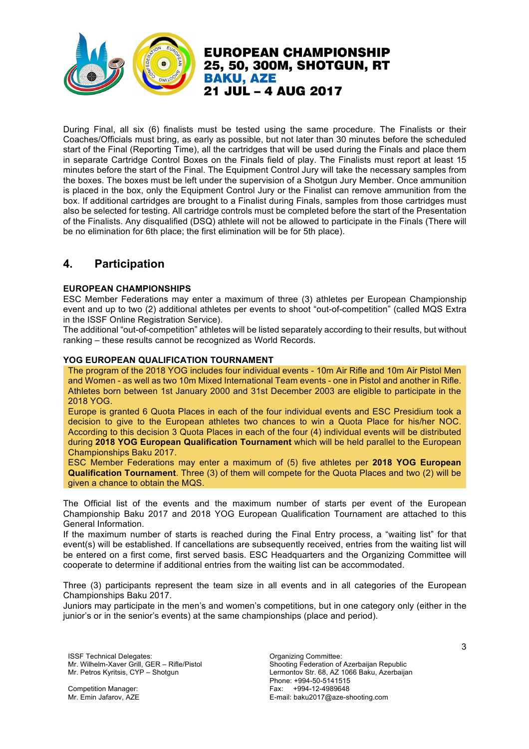

During Final, all six (6) finalists must be tested using the same procedure. The Finalists or their Coaches/Officials must bring, as early as possible, but not later than 30 minutes before the scheduled start of the Final (Reporting Time), all the cartridges that will be used during the Finals and place them in separate Cartridge Control Boxes on the Finals field of play. The Finalists must report at least 15 minutes before the start of the Final. The Equipment Control Jury will take the necessary samples from the boxes. The boxes must be left under the supervision of a Shotgun Jury Member. Once ammunition is placed in the box, only the Equipment Control Jury or the Finalist can remove ammunition from the box. If additional cartridges are brought to a Finalist during Finals, samples from those cartridges must also be selected for testing. All cartridge controls must be completed before the start of the Presentation of the Finalists. Any disqualified (DSQ) athlete will not be allowed to participate in the Finals (There will be no elimination for 6th place; the first elimination will be for 5th place).

21 JUL - 4 AUG 2017

**BAKU, AZE** 

**EUROPEAN CHAMPIONSHIP** 25, 50, 300M, SHOTGUN, RT

# **4. Participation**

#### **EUROPEAN CHAMPIONSHIPS**

ESC Member Federations may enter a maximum of three (3) athletes per European Championship event and up to two (2) additional athletes per events to shoot "out-of-competition" (called MQS Extra in the ISSF Online Registration Service).

The additional "out-of-competition" athletes will be listed separately according to their results, but without ranking – these results cannot be recognized as World Records.

#### **YOG EUROPEAN QUALIFICATION TOURNAMENT**

The program of the 2018 YOG includes four individual events - 10m Air Rifle and 10m Air Pistol Men and Women - as well as two 10m Mixed International Team events - one in Pistol and another in Rifle. Athletes born between 1st January 2000 and 31st December 2003 are eligible to participate in the 2018 YOG.

Europe is granted 6 Quota Places in each of the four individual events and ESC Presidium took a decision to give to the European athletes two chances to win a Quota Place for his/her NOC. According to this decision 3 Quota Places in each of the four (4) individual events will be distributed during **2018 YOG European Qualification Tournament** which will be held parallel to the European Championships Baku 2017.

ESC Member Federations may enter a maximum of (5) five athletes per **2018 YOG European Qualification Tournament**. Three (3) of them will compete for the Quota Places and two (2) will be given a chance to obtain the MQS.

The Official list of the events and the maximum number of starts per event of the European Championship Baku 2017 and 2018 YOG European Qualification Tournament are attached to this General Information.

If the maximum number of starts is reached during the Final Entry process, a "waiting list" for that event(s) will be established. If cancellations are subsequently received, entries from the waiting list will be entered on a first come, first served basis. ESC Headquarters and the Organizing Committee will cooperate to determine if additional entries from the waiting list can be accommodated.

Three (3) participants represent the team size in all events and in all categories of the European Championships Baku 2017.

Juniors may participate in the men's and women's competitions, but in one category only (either in the junior's or in the senior's events) at the same championships (place and period).

ISSF Technical Delegates: Committee: Committee: Committee: Committee: Committee: Mr. Wilhelm-Xaver Grill, GER – Rifle/Pistol Mr. Petros Kyritsis, CYP – Shotgun

Competition Manager: Mr. Emin Jafarov, AZE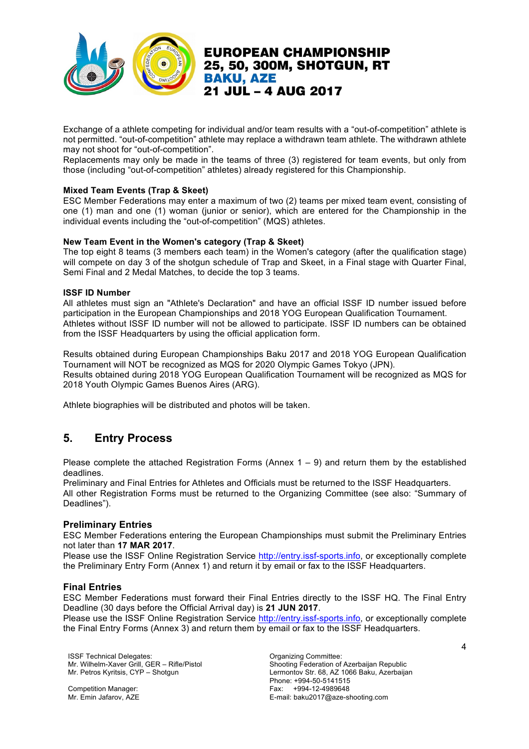

Exchange of a athlete competing for individual and/or team results with a "out-of-competition" athlete is not permitted. "out-of-competition" athlete may replace a withdrawn team athlete. The withdrawn athlete may not shoot for "out-of-competition".

Replacements may only be made in the teams of three (3) registered for team events, but only from those (including "out-of-competition" athletes) already registered for this Championship.

#### **Mixed Team Events (Trap & Skeet)**

ESC Member Federations may enter a maximum of two (2) teams per mixed team event, consisting of one (1) man and one (1) woman (junior or senior), which are entered for the Championship in the individual events including the "out-of-competition" (MQS) athletes.

#### **New Team Event in the Women's category (Trap & Skeet)**

The top eight 8 teams (3 members each team) in the Women's category (after the qualification stage) will compete on day 3 of the shotgun schedule of Trap and Skeet, in a Final stage with Quarter Final, Semi Final and 2 Medal Matches, to decide the top 3 teams.

#### **ISSF ID Number**

All athletes must sign an "Athlete's Declaration" and have an official ISSF ID number issued before participation in the European Championships and 2018 YOG European Qualification Tournament. Athletes without ISSF ID number will not be allowed to participate. ISSF ID numbers can be obtained from the ISSF Headquarters by using the official application form.

Results obtained during European Championships Baku 2017 and 2018 YOG European Qualification Tournament will NOT be recognized as MQS for 2020 Olympic Games Tokyo (JPN). Results obtained during 2018 YOG European Qualification Tournament will be recognized as MQS for 2018 Youth Olympic Games Buenos Aires (ARG).

Athlete biographies will be distributed and photos will be taken.

# **5. Entry Process**

Please complete the attached Registration Forms (Annex  $1 - 9$ ) and return them by the established deadlines.

Preliminary and Final Entries for Athletes and Officials must be returned to the ISSF Headquarters. All other Registration Forms must be returned to the Organizing Committee (see also: "Summary of Deadlines").

### **Preliminary Entries**

ESC Member Federations entering the European Championships must submit the Preliminary Entries not later than **17 MAR 2017**.

Please use the ISSF Online Registration Service http://entry.issf-sports.info, or exceptionally complete the Preliminary Entry Form (Annex 1) and return it by email or fax to the ISSF Headquarters.

### **Final Entries**

ESC Member Federations must forward their Final Entries directly to the ISSF HQ. The Final Entry Deadline (30 days before the Official Arrival day) is **21 JUN 2017**.

Please use the ISSF Online Registration Service http://entry.issf-sports.info, or exceptionally complete the Final Entry Forms (Annex 3) and return them by email or fax to the ISSF Headquarters.

ISSF Technical Delegates: Committee: Committee: Organizing Committee: Mr. Wilhelm-Xaver Grill, GER – Rifle/Pistol Mr. Petros Kyritsis, CYP – Shotgun

Competition Manager: Mr. Emin Jafarov, AZE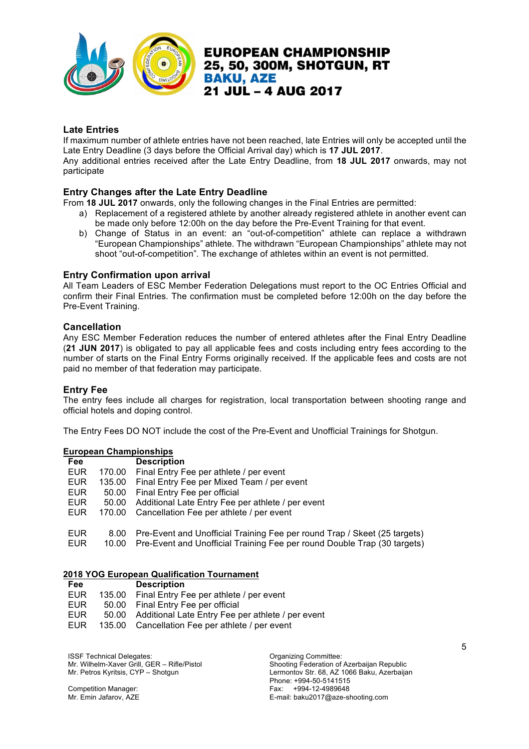

### **Late Entries**

If maximum number of athlete entries have not been reached, late Entries will only be accepted until the Late Entry Deadline (3 days before the Official Arrival day) which is **17 JUL 2017**.

Any additional entries received after the Late Entry Deadline, from **18 JUL 2017** onwards, may not participate

### **Entry Changes after the Late Entry Deadline**

From **18 JUL 2017** onwards, only the following changes in the Final Entries are permitted:

- a) Replacement of a registered athlete by another already registered athlete in another event can be made only before 12:00h on the day before the Pre-Event Training for that event.
- b) Change of Status in an event: an "out-of-competition" athlete can replace a withdrawn "European Championships" athlete. The withdrawn "European Championships" athlete may not shoot "out-of-competition". The exchange of athletes within an event is not permitted.

#### **Entry Confirmation upon arrival**

All Team Leaders of ESC Member Federation Delegations must report to the OC Entries Official and confirm their Final Entries. The confirmation must be completed before 12:00h on the day before the Pre-Event Training.

#### **Cancellation**

Any ESC Member Federation reduces the number of entered athletes after the Final Entry Deadline (**21 JUN 2017**) is obligated to pay all applicable fees and costs including entry fees according to the number of starts on the Final Entry Forms originally received. If the applicable fees and costs are not paid no member of that federation may participate.

#### **Entry Fee**

The entry fees include all charges for registration, local transportation between shooting range and official hotels and doping control.

The Entry Fees DO NOT include the cost of the Pre-Event and Unofficial Trainings for Shotgun.

### **European Championships**

| <b>Fee</b> |        | <b>Description</b>                                                        |
|------------|--------|---------------------------------------------------------------------------|
| <b>EUR</b> | 170.00 | Final Entry Fee per athlete / per event                                   |
| EUR        | 135.00 | Final Entry Fee per Mixed Team / per event                                |
| <b>EUR</b> | 50.00  | Final Entry Fee per official                                              |
| <b>EUR</b> | 50.00  | Additional Late Entry Fee per athlete / per event                         |
| <b>EUR</b> | 170.00 | Cancellation Fee per athlete / per event                                  |
| <b>EUR</b> | 8.00   | Pre-Event and Unofficial Training Fee per round Trap / Skeet (25 targets) |
| <b>EUR</b> | 10.00  | Pre-Event and Unofficial Training Fee per round Double Trap (30 targets)  |

#### **2018 YOG European Qualification Tournament**

| Fee        | <b>Description</b>                                      |
|------------|---------------------------------------------------------|
| <b>EUR</b> | 135.00 Final Entry Fee per athlete / per event          |
| EUR.       | 50.00 Final Entry Fee per official                      |
| EUR.       | 50.00 Additional Late Entry Fee per athlete / per event |
| EUR.       | 135.00 Cancellation Fee per athlete / per event         |

ISSF Technical Delegates: Committee: Committee: Organizing Committee: Mr. Wilhelm-Xaver Grill, GER – Rifle/Pistol Mr. Petros Kyritsis, CYP – Shotgun

Competition Manager: Mr. Emin Jafarov, AZE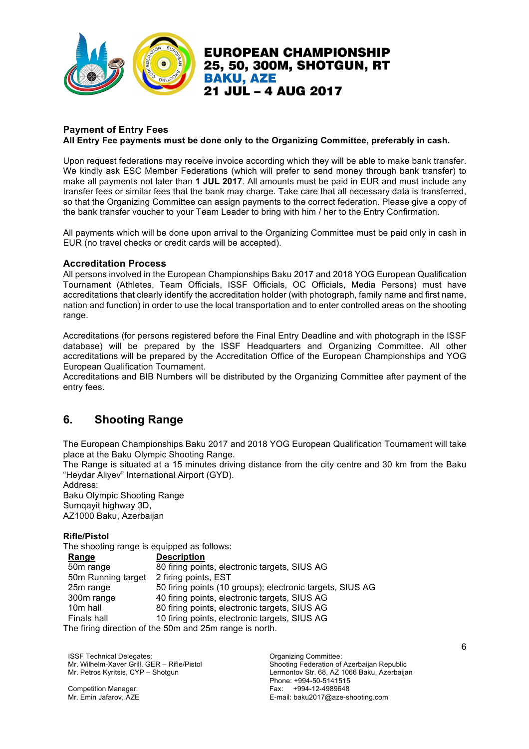

### **Payment of Entry Fees All Entry Fee payments must be done only to the Organizing Committee, preferably in cash.**

Upon request federations may receive invoice according which they will be able to make bank transfer. We kindly ask ESC Member Federations (which will prefer to send money through bank transfer) to make all payments not later than **1 JUL 2017**. All amounts must be paid in EUR and must include any transfer fees or similar fees that the bank may charge. Take care that all necessary data is transferred, so that the Organizing Committee can assign payments to the correct federation. Please give a copy of the bank transfer voucher to your Team Leader to bring with him / her to the Entry Confirmation.

All payments which will be done upon arrival to the Organizing Committee must be paid only in cash in EUR (no travel checks or credit cards will be accepted).

### **Accreditation Process**

All persons involved in the European Championships Baku 2017 and 2018 YOG European Qualification Tournament (Athletes, Team Officials, ISSF Officials, OC Officials, Media Persons) must have accreditations that clearly identify the accreditation holder (with photograph, family name and first name, nation and function) in order to use the local transportation and to enter controlled areas on the shooting range.

Accreditations (for persons registered before the Final Entry Deadline and with photograph in the ISSF database) will be prepared by the ISSF Headquarters and Organizing Committee. All other accreditations will be prepared by the Accreditation Office of the European Championships and YOG European Qualification Tournament.

Accreditations and BIB Numbers will be distributed by the Organizing Committee after payment of the entry fees.

# **6. Shooting Range**

The European Championships Baku 2017 and 2018 YOG European Qualification Tournament will take place at the Baku Olympic Shooting Range.

The Range is situated at a 15 minutes driving distance from the city centre and 30 km from the Baku "Heydar Aliyev" International Airport (GYD).

Address: Baku Olympic Shooting Range Sumqayit highway 3D, AZ1000 Baku, Azerbaijan

### **Rifle/Pistol**

The shooting range is equipped as follows:

| Range              | <b>Description</b>                                        |
|--------------------|-----------------------------------------------------------|
| 50m range          | 80 firing points, electronic targets, SIUS AG             |
| 50m Running target | 2 firing points, EST                                      |
| 25m range          | 50 firing points (10 groups); electronic targets, SIUS AG |
| 300m range         | 40 firing points, electronic targets, SIUS AG             |
| 10m hall           | 80 firing points, electronic targets, SIUS AG             |
| <b>Finals hall</b> | 10 firing points, electronic targets, SIUS AG             |
|                    | The firing direction of the 50m and 25m range is north.   |

The firing direction of the 50m and 25m range is north.

ISSF Technical Delegates: Committee: Committee: Committee: Committee: Committee: Mr. Wilhelm-Xaver Grill, GER – Rifle/Pistol Mr. Petros Kyritsis, CYP – Shotgun

Competition Manager: Mr. Emin Jafarov, AZE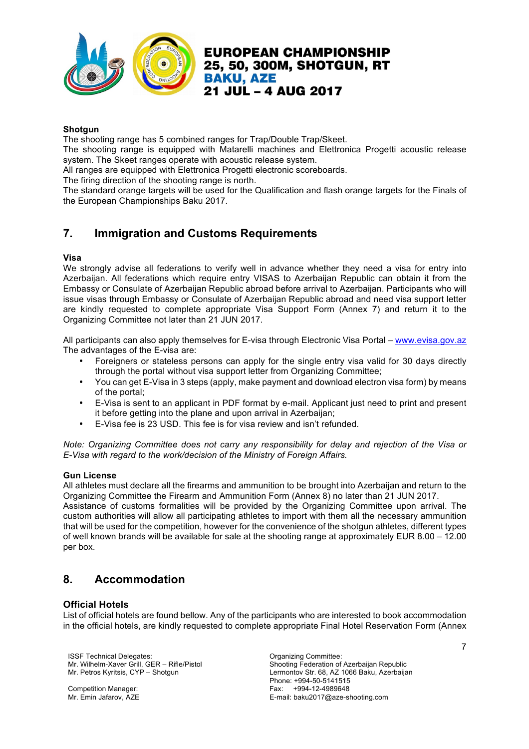

#### **Shotgun**

The shooting range has 5 combined ranges for Trap/Double Trap/Skeet.

The shooting range is equipped with Matarelli machines and Elettronica Progetti acoustic release system. The Skeet ranges operate with acoustic release system.

All ranges are equipped with Elettronica Progetti electronic scoreboards.

The firing direction of the shooting range is north.

The standard orange targets will be used for the Qualification and flash orange targets for the Finals of the European Championships Baku 2017.

# **7. Immigration and Customs Requirements**

#### **Visa**

We strongly advise all federations to verify well in advance whether they need a visa for entry into Azerbaijan. All federations which require entry VISAS to Azerbaijan Republic can obtain it from the Embassy or Consulate of Azerbaijan Republic abroad before arrival to Azerbaijan. Participants who will issue visas through Embassy or Consulate of Azerbaijan Republic abroad and need visa support letter are kindly requested to complete appropriate Visa Support Form (Annex 7) and return it to the Organizing Committee not later than 21 JUN 2017.

All participants can also apply themselves for E-visa through Electronic Visa Portal – www.evisa.gov.az The advantages of the E-visa are:

- Foreigners or stateless persons can apply for the single entry visa valid for 30 days directly through the portal without visa support letter from Organizing Committee;
- You can get E-Visa in 3 steps (apply, make payment and download electron visa form) by means of the portal;
- E-Visa is sent to an applicant in PDF format by e-mail. Applicant just need to print and present it before getting into the plane and upon arrival in Azerbaijan;
- E-Visa fee is 23 USD. This fee is for visa review and isn't refunded.

*Note: Organizing Committee does not carry any responsibility for delay and rejection of the Visa or E-Visa with regard to the work/decision of the Ministry of Foreign Affairs.*

### **Gun License**

All athletes must declare all the firearms and ammunition to be brought into Azerbaijan and return to the Organizing Committee the Firearm and Ammunition Form (Annex 8) no later than 21 JUN 2017.

Assistance of customs formalities will be provided by the Organizing Committee upon arrival. The custom authorities will allow all participating athletes to import with them all the necessary ammunition that will be used for the competition, however for the convenience of the shotgun athletes, different types of well known brands will be available for sale at the shooting range at approximately EUR 8.00 – 12.00 per box.

# **8. Accommodation**

### **Official Hotels**

List of official hotels are found bellow. Any of the participants who are interested to book accommodation in the official hotels, are kindly requested to complete appropriate Final Hotel Reservation Form (Annex

ISSF Technical Delegates: Organizing Committee: Mr. Wilhelm-Xaver Grill, GER – Rifle/Pistol Mr. Petros Kyritsis, CYP – Shotgun

Competition Manager: Mr. Emin Jafarov, AZE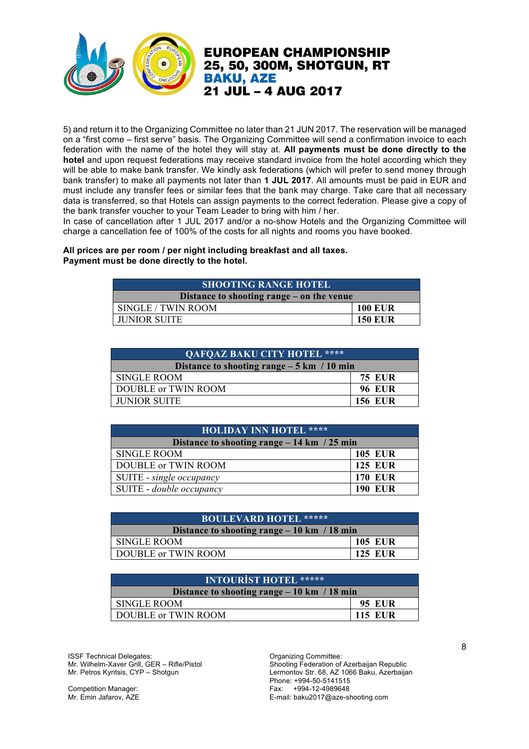

5) and return it to the Organizing Committee no later than 21 JUN 2017. The reservation will be managed on a "first come – first serve" basis. The Organizing Committee will send a confirmation invoice to each federation with the name of the hotel they will stay at. **All payments must be done directly to the hotel** and upon request federations may receive standard invoice from the hotel according which they will be able to make bank transfer. We kindly ask federations (which will prefer to send money through bank transfer) to make all payments not later than **1 JUL 2017**. All amounts must be paid in EUR and must include any transfer fees or similar fees that the bank may charge. Take care that all necessary data is transferred, so that Hotels can assign payments to the correct federation. Please give a copy of the bank transfer voucher to your Team Leader to bring with him / her.

In case of cancellation after 1 JUL 2017 and/or a no-show Hotels and the Organizing Committee will charge a cancellation fee of 100% of the costs for all nights and rooms you have booked.

### **All prices are per room / per night including breakfast and all taxes. Payment must be done directly to the hotel.**

| <b>SHOOTING RANGE HOTEL</b>               |                |  |
|-------------------------------------------|----------------|--|
| Distance to shooting range – on the venue |                |  |
| SINGLE / TWIN ROOM                        | <b>100 EUR</b> |  |
| <b>JUNIOR SUITE</b>                       | <b>150 EUR</b> |  |

| <b>QAFQAZ BAKU CITY HOTEL ****</b>                  |                |
|-----------------------------------------------------|----------------|
| Distance to shooting range $-5 \text{ km}$ / 10 min |                |
| <b>SINGLE ROOM</b>                                  | <b>75 EUR</b>  |
| DOUBLE or TWIN ROOM                                 | <b>96 EUR</b>  |
| <b>JUNIOR SUITE</b>                                 | <b>156 EUR</b> |

| <b>HOLIDAY INN HOTEL ****</b>                 |                |
|-----------------------------------------------|----------------|
| Distance to shooting range $-14$ km $/25$ min |                |
| <b>SINGLE ROOM</b>                            | <b>105 EUR</b> |
| <b>DOUBLE or TWIN ROOM</b>                    | <b>125 EUR</b> |
| SUITE - single occupancy                      | <b>170 EUR</b> |
| SUITE - double occupancy                      | <b>190 EUR</b> |

| <b>BOULEVARD HOTEL *****</b>                 |                |  |
|----------------------------------------------|----------------|--|
| Distance to shooting range $-10$ km / 18 min |                |  |
| <b>SINGLE ROOM</b>                           | <b>105 EUR</b> |  |
| DOUBLE or TWIN ROOM                          | <b>125 EUR</b> |  |

| <b>INTOURIST HOTEL *****</b>                  |                |
|-----------------------------------------------|----------------|
| Distance to shooting range $-10$ km $/18$ min |                |
| <b>SINGLE ROOM</b>                            | <b>95 EUR</b>  |
| DOUBLE or TWIN ROOM                           | <b>115 EUR</b> |

ISSF Technical Delegates: Organizing Committee: Mr. Wilhelm-Xaver Grill, GER – Rifle/Pistol Mr. Petros Kyritsis, CYP – Shotgun

Competition Manager: Mr. Emin Jafarov, AZE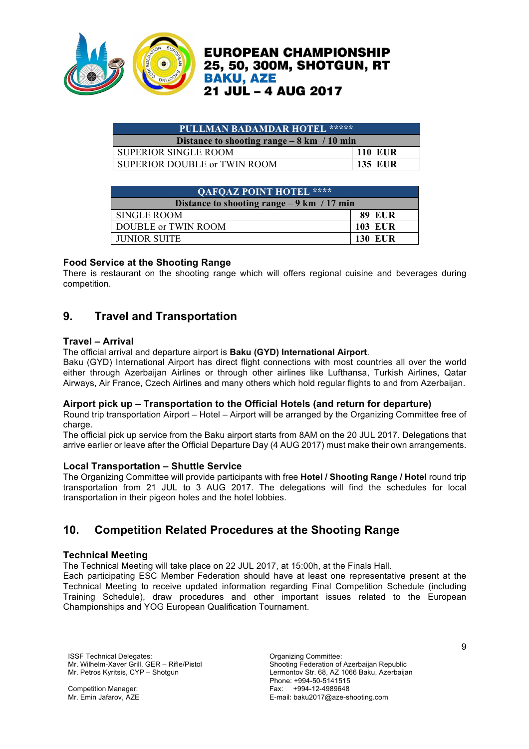

| PULLMAN BADAMDAR HOTEL *****                        |                |  |
|-----------------------------------------------------|----------------|--|
| Distance to shooting range $-8 \text{ km}$ / 10 min |                |  |
| <b>SUPERIOR SINGLE ROOM</b>                         | 110 EUR        |  |
| SUPERIOR DOUBLE or TWIN ROOM                        | <b>135 EUR</b> |  |

| <b>QAFQAZ POINT HOTEL ****</b>                      |                |
|-----------------------------------------------------|----------------|
| Distance to shooting range $-9 \text{ km}$ / 17 min |                |
| <b>SINGLE ROOM</b>                                  | <b>89 EUR</b>  |
| DOUBLE or TWIN ROOM                                 | <b>103 EUR</b> |
| <b>JUNIOR SUITE</b>                                 | <b>130 EUR</b> |

### **Food Service at the Shooting Range**

There is restaurant on the shooting range which will offers regional cuisine and beverages during competition.

# **9. Travel and Transportation**

### **Travel – Arrival**

The official arrival and departure airport is **Baku (GYD) International Airport**.

Baku (GYD) International Airport has direct flight connections with most countries all over the world either through Azerbaijan Airlines or through other airlines like Lufthansa, Turkish Airlines, Qatar Airways, Air France, Czech Airlines and many others which hold regular flights to and from Azerbaijan.

### **Airport pick up – Transportation to the Official Hotels (and return for departure)**

Round trip transportation Airport – Hotel – Airport will be arranged by the Organizing Committee free of charge.

The official pick up service from the Baku airport starts from 8AM on the 20 JUL 2017. Delegations that arrive earlier or leave after the Official Departure Day (4 AUG 2017) must make their own arrangements.

### **Local Transportation – Shuttle Service**

The Organizing Committee will provide participants with free **Hotel / Shooting Range / Hotel** round trip transportation from 21 JUL to 3 AUG 2017. The delegations will find the schedules for local transportation in their pigeon holes and the hotel lobbies.

# **10. Competition Related Procedures at the Shooting Range**

### **Technical Meeting**

The Technical Meeting will take place on 22 JUL 2017, at 15:00h, at the Finals Hall.

Each participating ESC Member Federation should have at least one representative present at the Technical Meeting to receive updated information regarding Final Competition Schedule (including Training Schedule), draw procedures and other important issues related to the European Championships and YOG European Qualification Tournament.

ISSF Technical Delegates: Committee: Committee: Committee: Committee: Committee: Mr. Wilhelm-Xaver Grill, GER – Rifle/Pistol Mr. Petros Kyritsis, CYP – Shotgun

Competition Manager: Mr. Emin Jafarov, AZE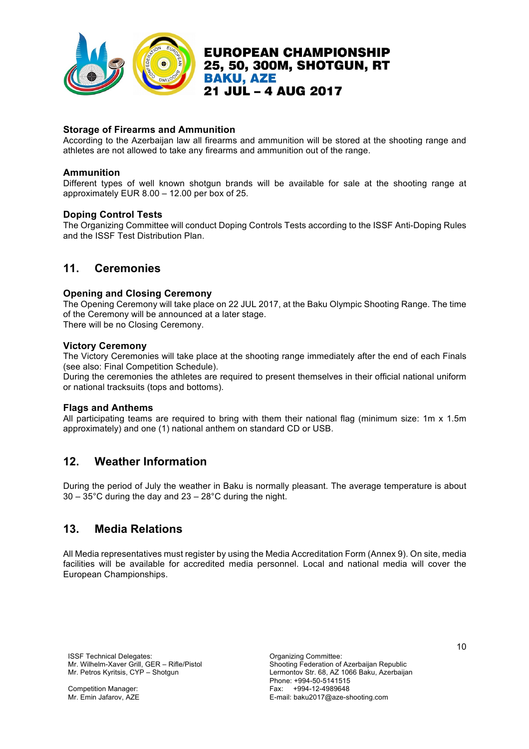

**Storage of Firearms and Ammunition** 

According to the Azerbaijan law all firearms and ammunition will be stored at the shooting range and athletes are not allowed to take any firearms and ammunition out of the range.

21 JUL - 4 AUG 2017

**BAKU, AZE** 

**EUROPEAN CHAMPIONSHIP** 

### **Ammunition**

Different types of well known shotgun brands will be available for sale at the shooting range at approximately EUR 8.00 – 12.00 per box of 25.

### **Doping Control Tests**

The Organizing Committee will conduct Doping Controls Tests according to the ISSF Anti-Doping Rules and the ISSF Test Distribution Plan.

### **11. Ceremonies**

#### **Opening and Closing Ceremony**

The Opening Ceremony will take place on 22 JUL 2017, at the Baku Olympic Shooting Range. The time of the Ceremony will be announced at a later stage.

There will be no Closing Ceremony.

#### **Victory Ceremony**

The Victory Ceremonies will take place at the shooting range immediately after the end of each Finals (see also: Final Competition Schedule).

During the ceremonies the athletes are required to present themselves in their official national uniform or national tracksuits (tops and bottoms).

#### **Flags and Anthems**

All participating teams are required to bring with them their national flag (minimum size: 1m x 1.5m approximately) and one (1) national anthem on standard CD or USB.

### **12. Weather Information**

During the period of July the weather in Baku is normally pleasant. The average temperature is about 30 – 35°C during the day and 23 – 28°C during the night.

### **13. Media Relations**

All Media representatives must register by using the Media Accreditation Form (Annex 9). On site, media facilities will be available for accredited media personnel. Local and national media will cover the European Championships.